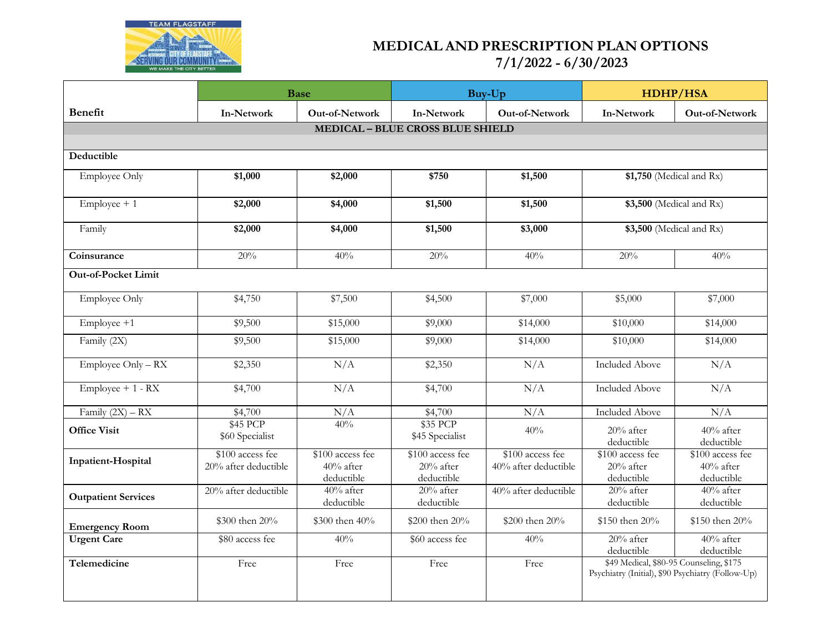

## **MEDICAL AND PRESCRIPTION PLAN OPTIONS 7/1/2022 - 6/30/2023**

|                                         | <b>Base</b>                              |                                             | Buy-Up                                      |                                          | <b>HDHP/HSA</b>                                                                              |                                             |  |  |  |  |  |
|-----------------------------------------|------------------------------------------|---------------------------------------------|---------------------------------------------|------------------------------------------|----------------------------------------------------------------------------------------------|---------------------------------------------|--|--|--|--|--|
| <b>Benefit</b>                          | <b>In-Network</b>                        | Out-of-Network                              | <b>In-Network</b>                           | <b>Out-of-Network</b>                    | In-Network                                                                                   | Out-of-Network                              |  |  |  |  |  |
| <b>MEDICAL - BLUE CROSS BLUE SHIELD</b> |                                          |                                             |                                             |                                          |                                                                                              |                                             |  |  |  |  |  |
| Deductible                              |                                          |                                             |                                             |                                          |                                                                                              |                                             |  |  |  |  |  |
|                                         |                                          |                                             |                                             |                                          |                                                                                              |                                             |  |  |  |  |  |
| Employee Only                           | \$1,000                                  | \$2,000                                     | \$750                                       | \$1,500                                  | \$1,750 (Medical and Rx)                                                                     |                                             |  |  |  |  |  |
| $Employee + 1$                          | \$2,000                                  | \$4,000                                     | \$1,500                                     | \$1,500                                  | \$3,500 (Medical and Rx)                                                                     |                                             |  |  |  |  |  |
| Family                                  | \$2,000                                  | \$4,000                                     | \$1,500                                     | \$3,000                                  | \$3,500 (Medical and Rx)                                                                     |                                             |  |  |  |  |  |
| Coinsurance                             | 20%                                      | 40%                                         | 20%                                         | 40%                                      | 20%                                                                                          | 40%                                         |  |  |  |  |  |
| <b>Out-of-Pocket Limit</b>              |                                          |                                             |                                             |                                          |                                                                                              |                                             |  |  |  |  |  |
| Employee Only                           | \$4,750                                  | \$7,500                                     | \$4,500                                     | \$7,000                                  | \$5,000                                                                                      | \$7,000                                     |  |  |  |  |  |
| $Employee +1$                           | \$9,500                                  | \$15,000                                    | \$9,000                                     | \$14,000                                 | \$10,000                                                                                     | \$14,000                                    |  |  |  |  |  |
| Family (2X)                             | \$9,500                                  | \$15,000                                    | \$9,000                                     | \$14,000                                 | \$10,000                                                                                     | \$14,000                                    |  |  |  |  |  |
| Employee Only - RX                      | \$2,350                                  | N/A                                         | \$2,350                                     | N/A                                      | <b>Included Above</b>                                                                        | N/A                                         |  |  |  |  |  |
| $Employee + 1 - RX$                     | \$4,700                                  | N/A                                         | \$4,700                                     | N/A                                      | <b>Included Above</b>                                                                        | N/A                                         |  |  |  |  |  |
| Family $(2X) - RX$                      | \$4,700                                  | N/A                                         | \$4,700                                     | N/A                                      | <b>Included Above</b>                                                                        | N/A                                         |  |  |  |  |  |
| <b>Office Visit</b>                     | \$45 PCP<br>\$60 Specialist              | 40%                                         | \$35 PCP<br>\$45 Specialist                 | 40%                                      | $20%$ after<br>deductible                                                                    | 40% after<br>deductible                     |  |  |  |  |  |
| Inpatient-Hospital                      | \$100 access fee<br>20% after deductible | \$100 access fee<br>40% after<br>deductible | \$100 access fee<br>20% after<br>deductible | \$100 access fee<br>40% after deductible | \$100 access fee<br>$20%$ after<br>deductible                                                | \$100 access fee<br>40% after<br>deductible |  |  |  |  |  |
| <b>Outpatient Services</b>              | 20% after deductible                     | 40% after<br>deductible                     | 20% after<br>deductible                     | 40% after deductible                     | $20%$ after<br>deductible                                                                    | 40% after<br>deductible                     |  |  |  |  |  |
| <b>Emergency Room</b>                   | \$300 then 20%                           | \$300 then 40%                              | \$200 then $20\%$                           | \$200 then 20%                           | \$150 then 20%                                                                               | \$150 then 20%                              |  |  |  |  |  |
| <b>Urgent Care</b>                      | \$80 access fee                          | 40%                                         | \$60 access fee                             | 40%                                      | 20% after<br>deductible                                                                      | 40% after<br>deductible                     |  |  |  |  |  |
| Telemedicine                            | Free                                     | Free                                        | Free                                        | Free                                     | \$49 Medical, \$80-95 Counseling, \$175<br>Psychiatry (Initial), \$90 Psychiatry (Follow-Up) |                                             |  |  |  |  |  |